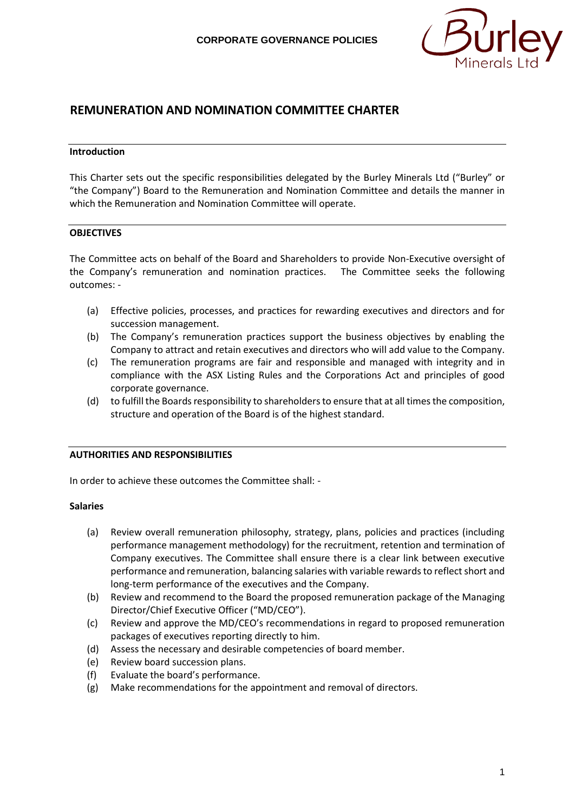

# **REMUNERATION AND NOMINATION COMMITTEE CHARTER**

#### **Introduction**

This Charter sets out the specific responsibilities delegated by the Burley Minerals Ltd ("Burley" or "the Company") Board to the Remuneration and Nomination Committee and details the manner in which the Remuneration and Nomination Committee will operate.

#### **OBJECTIVES**

The Committee acts on behalf of the Board and Shareholders to provide Non-Executive oversight of the Company's remuneration and nomination practices. The Committee seeks the following outcomes: -

- (a) Effective policies, processes, and practices for rewarding executives and directors and for succession management.
- (b) The Company's remuneration practices support the business objectives by enabling the Company to attract and retain executives and directors who will add value to the Company.
- (c) The remuneration programs are fair and responsible and managed with integrity and in compliance with the ASX Listing Rules and the Corporations Act and principles of good corporate governance.
- (d) to fulfill the Boards responsibility to shareholders to ensure that at all times the composition, structure and operation of the Board is of the highest standard.

### **AUTHORITIES AND RESPONSIBILITIES**

In order to achieve these outcomes the Committee shall: -

#### **Salaries**

- (a) Review overall remuneration philosophy, strategy, plans, policies and practices (including performance management methodology) for the recruitment, retention and termination of Company executives. The Committee shall ensure there is a clear link between executive performance and remuneration, balancing salaries with variable rewards to reflect short and long-term performance of the executives and the Company.
- (b) Review and recommend to the Board the proposed remuneration package of the Managing Director/Chief Executive Officer ("MD/CEO").
- (c) Review and approve the MD/CEO's recommendations in regard to proposed remuneration packages of executives reporting directly to him.
- (d) Assess the necessary and desirable competencies of board member.
- (e) Review board succession plans.
- (f) Evaluate the board's performance.
- (g) Make recommendations for the appointment and removal of directors.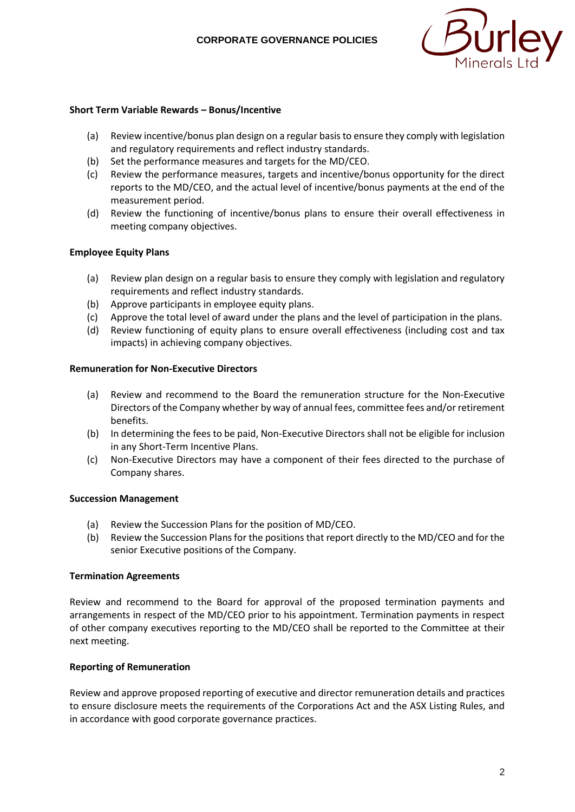

### **Short Term Variable Rewards – Bonus/Incentive**

- (a) Review incentive/bonus plan design on a regular basis to ensure they comply with legislation and regulatory requirements and reflect industry standards.
- (b) Set the performance measures and targets for the MD/CEO.
- (c) Review the performance measures, targets and incentive/bonus opportunity for the direct reports to the MD/CEO, and the actual level of incentive/bonus payments at the end of the measurement period.
- (d) Review the functioning of incentive/bonus plans to ensure their overall effectiveness in meeting company objectives.

### **Employee Equity Plans**

- (a) Review plan design on a regular basis to ensure they comply with legislation and regulatory requirements and reflect industry standards.
- (b) Approve participants in employee equity plans.
- (c) Approve the total level of award under the plans and the level of participation in the plans.
- (d) Review functioning of equity plans to ensure overall effectiveness (including cost and tax impacts) in achieving company objectives.

#### **Remuneration for Non-Executive Directors**

- (a) Review and recommend to the Board the remuneration structure for the Non-Executive Directors of the Company whether by way of annual fees, committee fees and/or retirement benefits.
- (b) In determining the fees to be paid, Non-Executive Directors shall not be eligible for inclusion in any Short-Term Incentive Plans.
- (c) Non-Executive Directors may have a component of their fees directed to the purchase of Company shares.

#### **Succession Management**

- (a) Review the Succession Plans for the position of MD/CEO.
- (b) Review the Succession Plans for the positions that report directly to the MD/CEO and for the senior Executive positions of the Company.

#### **Termination Agreements**

Review and recommend to the Board for approval of the proposed termination payments and arrangements in respect of the MD/CEO prior to his appointment. Termination payments in respect of other company executives reporting to the MD/CEO shall be reported to the Committee at their next meeting.

### **Reporting of Remuneration**

Review and approve proposed reporting of executive and director remuneration details and practices to ensure disclosure meets the requirements of the Corporations Act and the ASX Listing Rules, and in accordance with good corporate governance practices.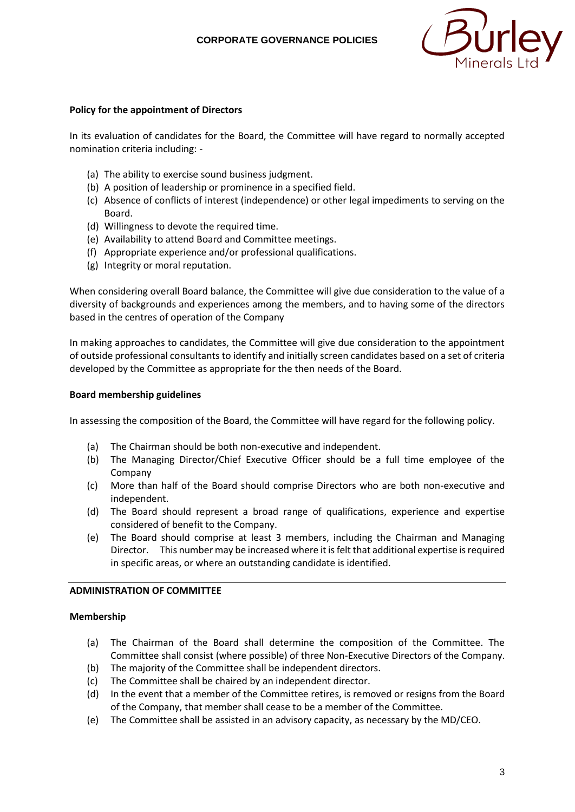

### **Policy for the appointment of Directors**

In its evaluation of candidates for the Board, the Committee will have regard to normally accepted nomination criteria including: -

- (a) The ability to exercise sound business judgment.
- (b) A position of leadership or prominence in a specified field.
- (c) Absence of conflicts of interest (independence) or other legal impediments to serving on the Board.
- (d) Willingness to devote the required time.
- (e) Availability to attend Board and Committee meetings.
- (f) Appropriate experience and/or professional qualifications.
- (g) Integrity or moral reputation.

When considering overall Board balance, the Committee will give due consideration to the value of a diversity of backgrounds and experiences among the members, and to having some of the directors based in the centres of operation of the Company

In making approaches to candidates, the Committee will give due consideration to the appointment of outside professional consultants to identify and initially screen candidates based on a set of criteria developed by the Committee as appropriate for the then needs of the Board.

### **Board membership guidelines**

In assessing the composition of the Board, the Committee will have regard for the following policy.

- (a) The Chairman should be both non-executive and independent.
- (b) The Managing Director/Chief Executive Officer should be a full time employee of the Company
- (c) More than half of the Board should comprise Directors who are both non-executive and independent.
- (d) The Board should represent a broad range of qualifications, experience and expertise considered of benefit to the Company.
- (e) The Board should comprise at least 3 members, including the Chairman and Managing Director. This number may be increased where it is felt that additional expertise is required in specific areas, or where an outstanding candidate is identified.

### **ADMINISTRATION OF COMMITTEE**

#### **Membership**

- (a) The Chairman of the Board shall determine the composition of the Committee. The Committee shall consist (where possible) of three Non-Executive Directors of the Company.
- (b) The majority of the Committee shall be independent directors.
- (c) The Committee shall be chaired by an independent director.
- (d) In the event that a member of the Committee retires, is removed or resigns from the Board of the Company, that member shall cease to be a member of the Committee.
- (e) The Committee shall be assisted in an advisory capacity, as necessary by the MD/CEO.